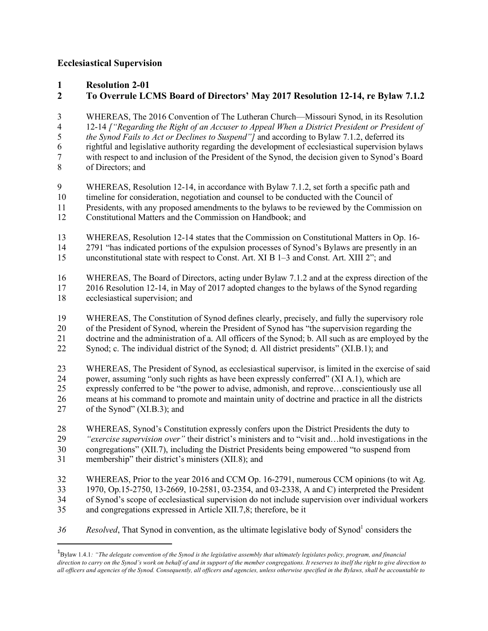## **Ecclesiastical Supervision**

- **Resolution 2-01**
- **To Overrule LCMS Board of Directors' May 2017 Resolution 12-14, re Bylaw 7.1.2**
- WHEREAS, The 2016 Convention of The Lutheran Church—Missouri Synod, in its Resolution 12-14 *["Regarding the Right of an Accuser to Appeal When a District President or President of the Synod Fails to Act or Declines to Suspend"]* and according to Bylaw 7.1.2, deferred its
- rightful and legislative authority regarding the development of ecclesiastical supervision bylaws
- with respect to and inclusion of the President of the Synod, the decision given to Synod's Board
- of Directors; and
- WHEREAS, Resolution 12-14, in accordance with Bylaw 7.1.2, set forth a specific path and
- timeline for consideration, negotiation and counsel to be conducted with the Council of
- Presidents, with any proposed amendments to the bylaws to be reviewed by the Commission on
- Constitutional Matters and the Commission on Handbook; and
- WHEREAS, Resolution 12-14 states that the Commission on Constitutional Matters in Op. 16- 2791 "has indicated portions of the expulsion processes of Synod's Bylaws are presently in an
- unconstitutional state with respect to Const. Art. XI B 1–3 and Const. Art. XIII 2"; and
- WHEREAS, The Board of Directors, acting under Bylaw 7.1.2 and at the express direction of the 2016 Resolution 12-14, in May of 2017 adopted changes to the bylaws of the Synod regarding ecclesiastical supervision; and
- WHEREAS, The Constitution of Synod defines clearly, precisely, and fully the supervisory role
- of the President of Synod, wherein the President of Synod has "the supervision regarding the
- doctrine and the administration of a. All officers of the Synod; b. All such as are employed by the
- Synod; c. The individual district of the Synod; d. All district presidents" (XI.B.1); and
- WHEREAS, The President of Synod, as ecclesiastical supervisor, is limited in the exercise of said power, assuming "only such rights as have been expressly conferred" (XI A.1), which are expressly conferred to be "the power to advise, admonish, and reprove…conscientiously use all means at his command to promote and maintain unity of doctrine and practice in all the districts of the Synod" (XI.B.3); and
- WHEREAS, Synod's Constitution expressly confers upon the District Presidents the duty to *"exercise supervision over"* their district's ministers and to "visit and…hold investigations in the congregations" (XII.7), including the District Presidents being empowered "to suspend from membership" their district's ministers (XII.8); and
- WHEREAS, Prior to the year 2016 and CCM Op. 16-2791, numerous CCM opinions (to wit Ag. 1970, Op.15-2750, 13-2669, 10-2581, 03-2354, and 03-2338, A and C) interpreted the President
- of Synod's scope of ecclesiastical supervision do not include supervision over individual workers
- and congregations expressed in Article XII.7,8; therefore, be it
- *36 Resolved*, That Synod in convention, as the ultimate legislative body of Synod<sup>1</sup> considers the

 $\overline{1}$ Bylaw 1.4.1*: "The delegate convention of the Synod is the legislative assembly that ultimately legislates policy, program, and financial direction to carry on the Synod's work on behalf of and in support of the member congregations. It reserves to itself the right to give direction to all officers and agencies of the Synod. Consequently, all officers and agencies, unless otherwise specified in the Bylaws, shall be accountable to*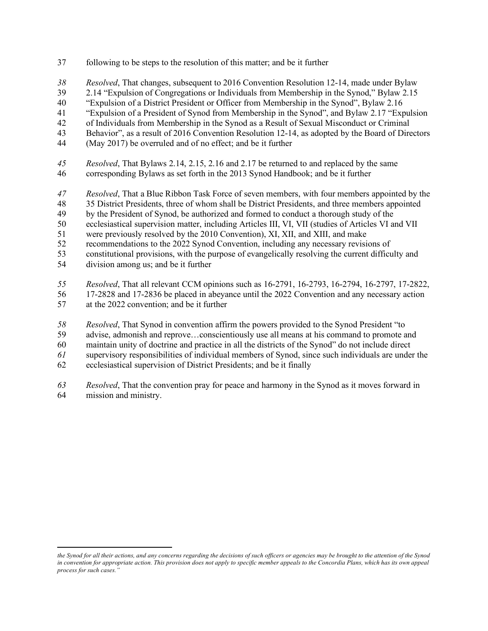- following to be steps to the resolution of this matter; and be it further
- *Resolved*, That changes, subsequent to 2016 Convention Resolution 12-14, made under Bylaw
- 2.14 "Expulsion of Congregations or Individuals from Membership in the Synod," Bylaw 2.15
- "Expulsion of a District President or Officer from Membership in the Synod", Bylaw 2.16
- "Expulsion of a President of Synod from Membership in the Synod", and Bylaw 2.17 "Expulsion
- of Individuals from Membership in the Synod as a Result of Sexual Misconduct or Criminal
- Behavior", as a result of 2016 Convention Resolution 12-14, as adopted by the Board of Directors
- (May 2017) be overruled and of no effect; and be it further
- *Resolved*, That Bylaws 2.14, 2.15, 2.16 and 2.17 be returned to and replaced by the same
- corresponding Bylaws as set forth in the 2013 Synod Handbook; and be it further
- *Resolved*, That a Blue Ribbon Task Force of seven members, with four members appointed by the
- 35 District Presidents, three of whom shall be District Presidents, and three members appointed
- by the President of Synod, be authorized and formed to conduct a thorough study of the
- ecclesiastical supervision matter, including Articles III, VI, VII (studies of Articles VI and VII
- were previously resolved by the 2010 Convention), XI, XII, and XIII, and make
- recommendations to the 2022 Synod Convention, including any necessary revisions of
- constitutional provisions, with the purpose of evangelically resolving the current difficulty and division among us; and be it further
- *Resolved*, That all relevant CCM opinions such as 16-2791, 16-2793, 16-2794, 16-2797, 17-2822,
- 17-2828 and 17-2836 be placed in abeyance until the 2022 Convention and any necessary action
- at the 2022 convention; and be it further

l

- *Resolved*, That Synod in convention affirm the powers provided to the Synod President "to
- advise, admonish and reprove…conscientiously use all means at his command to promote and
- maintain unity of doctrine and practice in all the districts of the Synod" do not include direct
- supervisory responsibilities of individual members of Synod, since such individuals are under the
- ecclesiastical supervision of District Presidents; and be it finally
- *Resolved*, That the convention pray for peace and harmony in the Synod as it moves forward in mission and ministry.

*the Synod for all their actions, and any concerns regarding the decisions of such officers or agencies may be brought to the attention of the Synod in convention for appropriate action. This provision does not apply to specific member appeals to the Concordia Plans, which has its own appeal process for such cases."*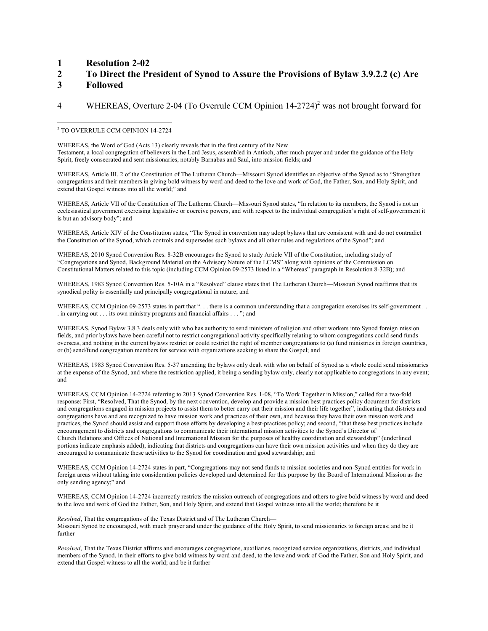## **1 Resolution 2-02**

## **2 To Direct the President of Synod to Assure the Provisions of Bylaw 3.9.2.2 (c) Are**

**3 Followed** 

## 4 WHEREAS, Overture 2-04 (To Overrule CCM Opinion 14-2724)<sup>2</sup> was not brought forward for

WHEREAS, the Word of God (Acts 13) clearly reveals that in the first century of the New Testament, a local congregation of believers in the Lord Jesus, assembled in Antioch, after much prayer and under the guidance of the Holy Spirit, freely consecrated and sent missionaries, notably Barnabas and Saul, into mission fields; and

WHEREAS, Article III. 2 of the Constitution of The Lutheran Church—Missouri Synod identifies an objective of the Synod as to "Strengthen congregations and their members in giving bold witness by word and deed to the love and work of God, the Father, Son, and Holy Spirit, and extend that Gospel witness into all the world;" and

WHEREAS, Article VII of the Constitution of The Lutheran Church—Missouri Synod states, "In relation to its members, the Synod is not an ecclesiastical government exercising legislative or coercive powers, and with respect to the individual congregation's right of self-government it is but an advisory body"; and

WHEREAS, Article XIV of the Constitution states, "The Synod in convention may adopt bylaws that are consistent with and do not contradict the Constitution of the Synod, which controls and supersedes such bylaws and all other rules and regulations of the Synod"; and

WHEREAS, 2010 Synod Convention Res. 8-32B encourages the Synod to study Article VII of the Constitution, including study of "Congregations and Synod, Background Material on the Advisory Nature of the LCMS" along with opinions of the Commission on Constitutional Matters related to this topic (including CCM Opinion 09-2573 listed in a "Whereas" paragraph in Resolution 8-32B); and

WHEREAS, 1983 Synod Convention Res. 5-10A in a "Resolved" clause states that The Lutheran Church—Missouri Synod reaffirms that its synodical polity is essentially and principally congregational in nature; and

WHEREAS, CCM Opinion 09-2573 states in part that "... there is a common understanding that a congregation exercises its self-government .. . in carrying out . . . its own ministry programs and financial affairs . . . "; and

WHEREAS, Synod Bylaw 3.8.3 deals only with who has authority to send ministers of religion and other workers into Synod foreign mission fields, and prior bylaws have been careful not to restrict congregational activity specifically relating to whom congregations could send funds overseas, and nothing in the current bylaws restrict or could restrict the right of member congregations to (a) fund ministries in foreign countries, or (b) send/fund congregation members for service with organizations seeking to share the Gospel; and

WHEREAS, 1983 Synod Convention Res. 5-37 amending the bylaws only dealt with who on behalf of Synod as a whole could send missionaries at the expense of the Synod, and where the restriction applied, it being a sending bylaw only, clearly not applicable to congregations in any event; and

WHEREAS, CCM Opinion 14-2724 referring to 2013 Synod Convention Res. 1-08, "To Work Together in Mission," called for a two-fold response: First, "Resolved, That the Synod, by the next convention, develop and provide a mission best practices policy document for districts and congregations engaged in mission projects to assist them to better carry out their mission and their life together", indicating that districts and congregations have and are recognized to have mission work and practices of their own, and because they have their own mission work and practices, the Synod should assist and support those efforts by developing a best-practices policy; and second, "that these best practices include encouragement to districts and congregations to communicate their international mission activities to the Synod's Director of Church Relations and Offices of National and International Mission for the purposes of healthy coordination and stewardship" (underlined portions indicate emphasis added), indicating that districts and congregations can have their own mission activities and when they do they are encouraged to communicate these activities to the Synod for coordination and good stewardship; and

WHEREAS, CCM Opinion 14-2724 states in part, "Congregations may not send funds to mission societies and non-Synod entities for work in foreign areas without taking into consideration policies developed and determined for this purpose by the Board of International Mission as the only sending agency;" and

WHEREAS, CCM Opinion 14-2724 incorrectly restricts the mission outreach of congregations and others to give bold witness by word and deed to the love and work of God the Father, Son, and Holy Spirit, and extend that Gospel witness into all the world; therefore be it

*Resolved*, That the congregations of the Texas District and of The Lutheran Church— Missouri Synod be encouraged, with much prayer and under the guidance of the Holy Spirit, to send missionaries to foreign areas; and be it further

*Resolved*, That the Texas District affirms and encourages congregations, auxiliaries, recognized service organizations, districts, and individual members of the Synod, in their efforts to give bold witness by word and deed, to the love and work of God the Father, Son and Holy Spirit, and extend that Gospel witness to all the world; and be it further

 $\overline{\phantom{a}}$ <sup>2</sup> TO OVERRULE CCM OPINION 14-2724